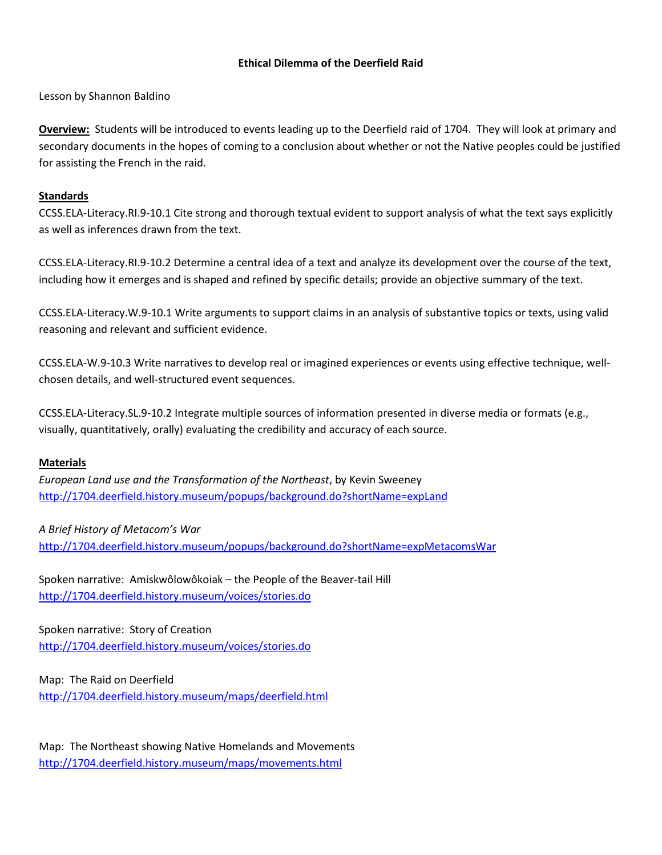#### **Ethical Dilemma of the Deerfield Raid**

Lesson by Shannon Baldino

**Overview:** Students will be introduced to events leading up to the Deerfield raid of 1704. They will look at primary and secondary documents in the hopes of coming to a conclusion about whether or not the Native peoples could be justified for assisting the French in the raid.

#### **Standards**

CCSS.ELA-Literacy.RI.9-10.1 Cite strong and thorough textual evident to support analysis of what the text says explicitly as well as inferences drawn from the text.

CCSS.ELA-Literacy.RI.9-10.2 Determine a central idea of a text and analyze its development over the course of the text, including how it emerges and is shaped and refined by specific details; provide an objective summary of the text.

CCSS.ELA-Literacy.W.9-10.1 Write arguments to support claims in an analysis of substantive topics or texts, using valid reasoning and relevant and sufficient evidence.

CCSS.ELA-W.9-10.3 Write narratives to develop real or imagined experiences or events using effective technique, wellchosen details, and well-structured event sequences.

CCSS.ELA-Literacy.SL.9-10.2 Integrate multiple sources of information presented in diverse media or formats (e.g., visually, quantitatively, orally) evaluating the credibility and accuracy of each source.

#### **Materials**

*European Land use and the Transformation of the Northeast*, by Kevin Sweeney <http://1704.deerfield.history.museum/popups/background.do?shortName=expLand>

*A Brief History of Metacom's War* <http://1704.deerfield.history.museum/popups/background.do?shortName=expMetacomsWar>

Spoken narrative: Amiskwôlowôkoiak – the People of the Beaver-tail Hill <http://1704.deerfield.history.museum/voices/stories.do>

Spoken narrative: Story of Creation <http://1704.deerfield.history.museum/voices/stories.do>

Map: The Raid on Deerfield

<http://1704.deerfield.history.museum/maps/deerfield.html>

Map: The Northeast showing Native Homelands and Movements <http://1704.deerfield.history.museum/maps/movements.html>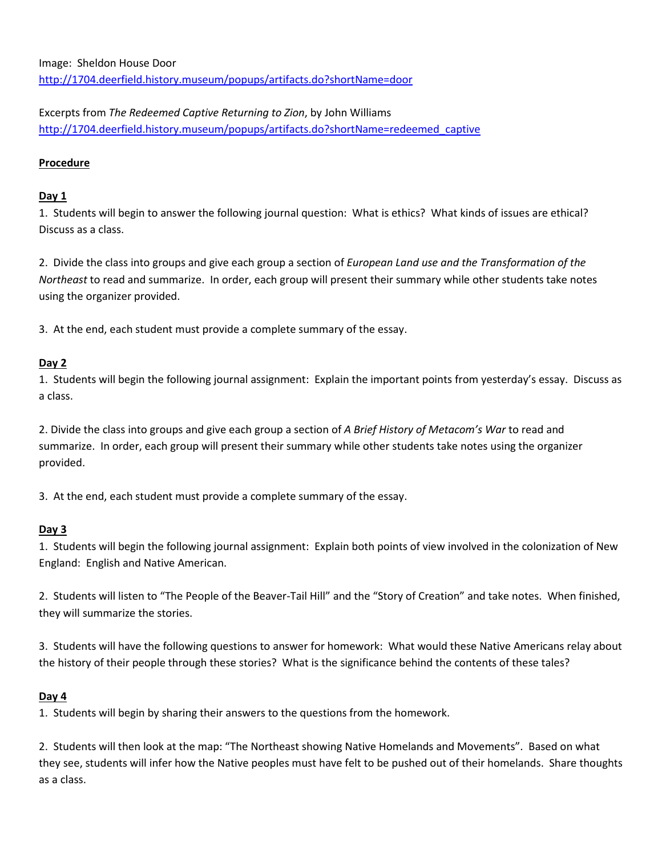Excerpts from *The Redeemed Captive Returning to Zion*, by John Williams [http://1704.deerfield.history.museum/popups/artifacts.do?shortName=redeemed\\_captive](http://1704.deerfield.history.museum/popups/artifacts.do?shortName=redeemed_captive)

#### **Procedure**

#### **Day 1**

1. Students will begin to answer the following journal question: What is ethics? What kinds of issues are ethical? Discuss as a class.

2. Divide the class into groups and give each group a section of *European Land use and the Transformation of the Northeast* to read and summarize. In order, each group will present their summary while other students take notes using the organizer provided.

3. At the end, each student must provide a complete summary of the essay.

### **Day 2**

1. Students will begin the following journal assignment: Explain the important points from yesterday's essay. Discuss as a class.

2. Divide the class into groups and give each group a section of *A Brief History of Metacom's War* to read and summarize. In order, each group will present their summary while other students take notes using the organizer provided.

3. At the end, each student must provide a complete summary of the essay.

### **Day 3**

1. Students will begin the following journal assignment: Explain both points of view involved in the colonization of New England: English and Native American.

2. Students will listen to "The People of the Beaver-Tail Hill" and the "Story of Creation" and take notes. When finished, they will summarize the stories.

3. Students will have the following questions to answer for homework: What would these Native Americans relay about the history of their people through these stories? What is the significance behind the contents of these tales?

### **Day 4**

1. Students will begin by sharing their answers to the questions from the homework.

2. Students will then look at the map: "The Northeast showing Native Homelands and Movements". Based on what they see, students will infer how the Native peoples must have felt to be pushed out of their homelands. Share thoughts as a class.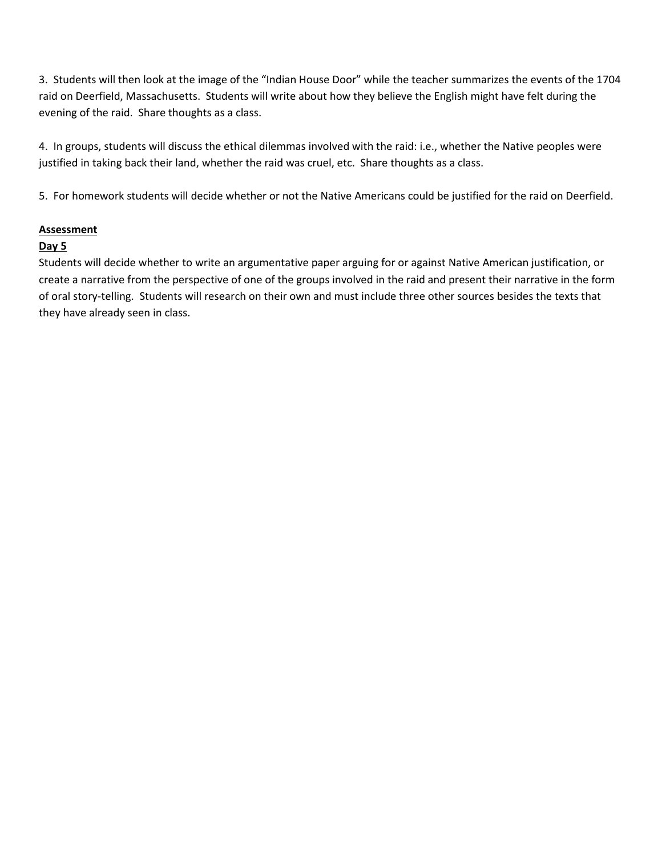3. Students will then look at the image of the "Indian House Door" while the teacher summarizes the events of the 1704 raid on Deerfield, Massachusetts. Students will write about how they believe the English might have felt during the evening of the raid. Share thoughts as a class.

4. In groups, students will discuss the ethical dilemmas involved with the raid: i.e., whether the Native peoples were justified in taking back their land, whether the raid was cruel, etc. Share thoughts as a class.

5. For homework students will decide whether or not the Native Americans could be justified for the raid on Deerfield.

#### **Assessment**

#### **Day 5**

Students will decide whether to write an argumentative paper arguing for or against Native American justification, or create a narrative from the perspective of one of the groups involved in the raid and present their narrative in the form of oral story-telling. Students will research on their own and must include three other sources besides the texts that they have already seen in class.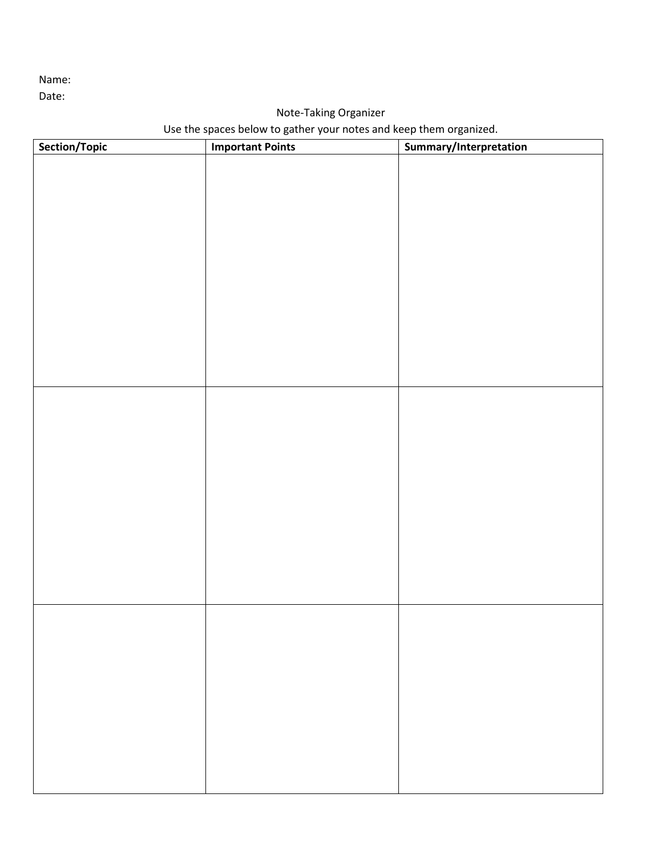Name:

Date:

## Note-Taking Organizer

# Use the spaces below to gather your notes and keep them organized.

| Section/Topic | <b>Important Points</b> | Summary/Interpretation |
|---------------|-------------------------|------------------------|
|               |                         |                        |
|               |                         |                        |
|               |                         |                        |
|               |                         |                        |
|               |                         |                        |
|               |                         |                        |
|               |                         |                        |
|               |                         |                        |
|               |                         |                        |
|               |                         |                        |
|               |                         |                        |
|               |                         |                        |
|               |                         |                        |
|               |                         |                        |
|               |                         |                        |
|               |                         |                        |
|               |                         |                        |
|               |                         |                        |
|               |                         |                        |
|               |                         |                        |
|               |                         |                        |
|               |                         |                        |
|               |                         |                        |
|               |                         |                        |
|               |                         |                        |
|               |                         |                        |
|               |                         |                        |
|               |                         |                        |
|               |                         |                        |
|               |                         |                        |
|               |                         |                        |
|               |                         |                        |
|               |                         |                        |
|               |                         |                        |
|               |                         |                        |
|               |                         |                        |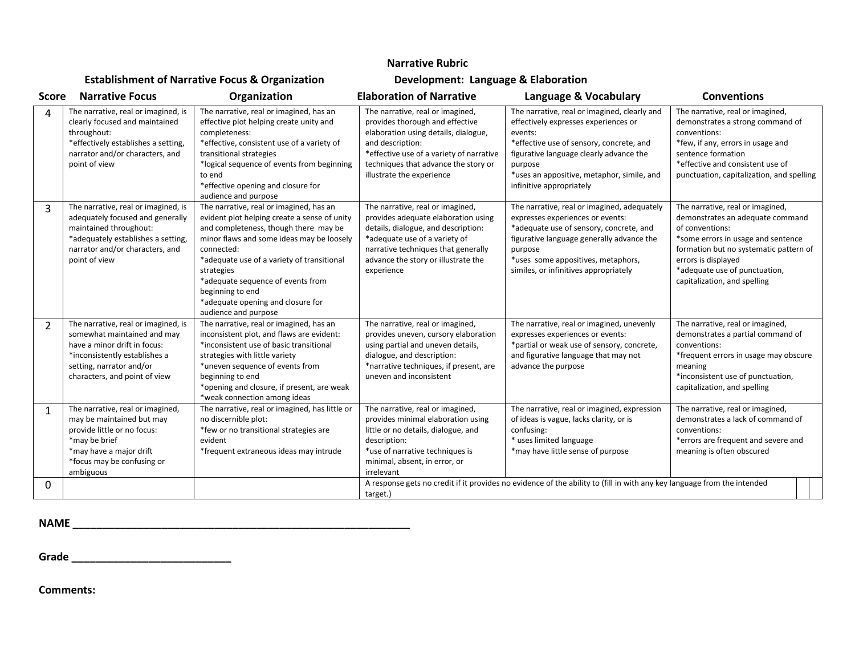#### **Narrative Rubric**

### **Establishment of Narrative Focus & Organization Development: Language & Elaboration**

| <b>Score</b>   | <b>Narrative Focus</b>                                                                                                                                                                           | Organization                                                                                                                                                                                                                                                                                                                                                                  | <b>Elaboration of Narrative</b>                                                                                                                                                                                                                  | Language & Vocabulary                                                                                                                                                                                                                                                       | <b>Conventions</b>                                                                                                                                                                                                                                              |
|----------------|--------------------------------------------------------------------------------------------------------------------------------------------------------------------------------------------------|-------------------------------------------------------------------------------------------------------------------------------------------------------------------------------------------------------------------------------------------------------------------------------------------------------------------------------------------------------------------------------|--------------------------------------------------------------------------------------------------------------------------------------------------------------------------------------------------------------------------------------------------|-----------------------------------------------------------------------------------------------------------------------------------------------------------------------------------------------------------------------------------------------------------------------------|-----------------------------------------------------------------------------------------------------------------------------------------------------------------------------------------------------------------------------------------------------------------|
| 4              | The narrative, real or imagined, is<br>clearly focused and maintained<br>throughout:<br>*effectively establishes a setting,<br>narrator and/or characters, and<br>point of view                  | The narrative, real or imagined, has an<br>effective plot helping create unity and<br>completeness:<br>*effective, consistent use of a variety of<br>transitional strategies<br>*logical sequence of events from beginning<br>to end<br>*effective opening and closure for<br>audience and purpose                                                                            | The narrative, real or imagined,<br>provides thorough and effective<br>elaboration using details, dialogue,<br>and description:<br>*effective use of a variety of narrative<br>techniques that advance the story or<br>illustrate the experience | The narrative, real or imagined, clearly and<br>effectively expresses experiences or<br>events:<br>*effective use of sensory, concrete, and<br>figurative language clearly advance the<br>purpose<br>*uses an appositive, metaphor, simile, and<br>infinitive appropriately | The narrative, real or imagined,<br>demonstrates a strong command of<br>conventions:<br>*few, if any, errors in usage and<br>sentence formation<br>*effective and consistent use of<br>punctuation, capitalization, and spelling                                |
| 3              | The narrative, real or imagined, is<br>adequately focused and generally<br>maintained throughout:<br>*adequately establishes a setting,<br>narrator and/or characters, and<br>point of view      | The narrative, real or imagined, has an<br>evident plot helping create a sense of unity<br>and completeness, though there may be<br>minor flaws and some ideas may be loosely<br>connected:<br>*adequate use of a variety of transitional<br>strategies<br>*adequate sequence of events from<br>beginning to end<br>*adequate opening and closure for<br>audience and purpose | The narrative, real or imagined,<br>provides adequate elaboration using<br>details, dialogue, and description:<br>*adequate use of a variety of<br>narrative techniques that generally<br>advance the story or illustrate the<br>experience      | The narrative, real or imagined, adequately<br>expresses experiences or events:<br>*adequate use of sensory, concrete, and<br>figurative language generally advance the<br>purpose<br>*uses some appositives, metaphors,<br>similes, or infinitives appropriately           | The narrative, real or imagined,<br>demonstrates an adequate command<br>of conventions:<br>*some errors in usage and sentence<br>formation but no systematic pattern of<br>errors is displayed<br>*adequate use of punctuation,<br>capitalization, and spelling |
| $\overline{2}$ | The narrative, real or imagined, is<br>somewhat maintained and may<br>have a minor drift in focus:<br>*inconsistently establishes a<br>setting, narrator and/or<br>characters, and point of view | The narrative, real or imagined, has an<br>inconsistent plot, and flaws are evident:<br>*inconsistent use of basic transitional<br>strategies with little variety<br>*uneven sequence of events from<br>beginning to end<br>*opening and closure, if present, are weak<br>*weak connection among ideas                                                                        | The narrative, real or imagined,<br>provides uneven, cursory elaboration<br>using partial and uneven details,<br>dialogue, and description:<br>*narrative techniques, if present, are<br>uneven and inconsistent                                 | The narrative, real or imagined, unevenly<br>expresses experiences or events:<br>*partial or weak use of sensory, concrete,<br>and figurative language that may not<br>advance the purpose                                                                                  | The narrative, real or imagined,<br>demonstrates a partial command of<br>conventions:<br>*frequent errors in usage may obscure<br>meaning<br>*inconsistent use of punctuation,<br>capitalization, and spelling                                                  |
| $\mathbf{1}$   | The narrative, real or imagined,<br>may be maintained but may<br>provide little or no focus:<br>*may be brief<br>*may have a major drift<br>*focus may be confusing or<br>ambiguous              | The narrative, real or imagined, has little or<br>no discernible plot:<br>*few or no transitional strategies are<br>evident<br>*frequent extraneous ideas may intrude                                                                                                                                                                                                         | The narrative, real or imagined,<br>provides minimal elaboration using<br>little or no details, dialogue, and<br>description:<br>*use of narrative techniques is<br>minimal, absent, in error, or<br>irrelevant                                  | The narrative, real or imagined, expression<br>of ideas is vague, lacks clarity, or is<br>confusing:<br>* uses limited language<br>*may have little sense of purpose                                                                                                        | The narrative, real or imagined,<br>demonstrates a lack of command of<br>conventions:<br>*errors are frequent and severe and<br>meaning is often obscured                                                                                                       |
| 0              |                                                                                                                                                                                                  |                                                                                                                                                                                                                                                                                                                                                                               | target.)                                                                                                                                                                                                                                         | A response gets no credit if it provides no evidence of the ability to (fill in with any key language from the intended                                                                                                                                                     |                                                                                                                                                                                                                                                                 |

**NAME \_\_\_\_\_\_\_\_\_\_\_\_\_\_\_\_\_\_\_\_\_\_\_\_\_\_\_\_\_\_\_\_\_\_\_\_\_\_\_\_\_\_\_\_\_\_\_\_\_\_\_\_\_\_\_\_\_**

**Grade \_\_\_\_\_\_\_\_\_\_\_\_\_\_\_\_\_\_\_\_\_\_\_\_\_\_\_**

**Comments:**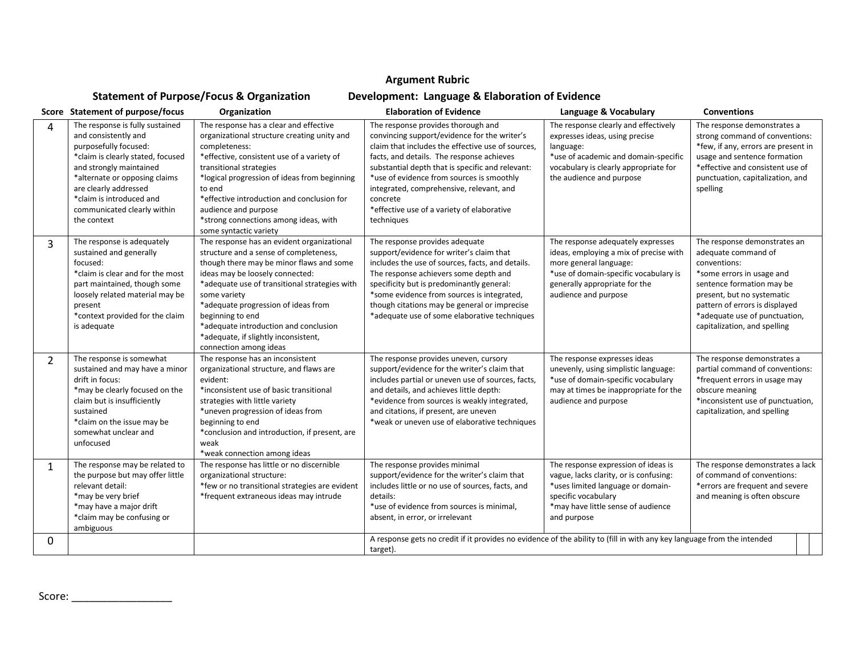#### **Argument Rubric**

# **Statement of Purpose/Focus & Organization Development: Language & Elaboration of Evidence**

|              | Score Statement of purpose/focus                                                                                                                                                                                                                                                     | Organization                                                                                                                                                                                                                                                                                                                                                                                               | <b>Elaboration of Evidence</b>                                                                                                                                                                                                                                                                                                                                                                            | Language & Vocabulary                                                                                                                                                                                   | <b>Conventions</b>                                                                                                                                                                                                                                             |
|--------------|--------------------------------------------------------------------------------------------------------------------------------------------------------------------------------------------------------------------------------------------------------------------------------------|------------------------------------------------------------------------------------------------------------------------------------------------------------------------------------------------------------------------------------------------------------------------------------------------------------------------------------------------------------------------------------------------------------|-----------------------------------------------------------------------------------------------------------------------------------------------------------------------------------------------------------------------------------------------------------------------------------------------------------------------------------------------------------------------------------------------------------|---------------------------------------------------------------------------------------------------------------------------------------------------------------------------------------------------------|----------------------------------------------------------------------------------------------------------------------------------------------------------------------------------------------------------------------------------------------------------------|
| 4            | The response is fully sustained<br>and consistently and<br>purposefully focused:<br>*claim is clearly stated, focused<br>and strongly maintained<br>*alternate or opposing claims<br>are clearly addressed<br>*claim is introduced and<br>communicated clearly within<br>the context | The response has a clear and effective<br>organizational structure creating unity and<br>completeness:<br>*effective, consistent use of a variety of<br>transitional strategies<br>*logical progression of ideas from beginning<br>to end<br>*effective introduction and conclusion for<br>audience and purpose<br>*strong connections among ideas, with<br>some syntactic variety                         | The response provides thorough and<br>convincing support/evidence for the writer's<br>claim that includes the effective use of sources,<br>facts, and details. The response achieves<br>substantial depth that is specific and relevant:<br>*use of evidence from sources is smoothly<br>integrated, comprehensive, relevant, and<br>concrete<br>*effective use of a variety of elaborative<br>techniques | The response clearly and effectively<br>expresses ideas, using precise<br>language:<br>*use of academic and domain-specific<br>vocabulary is clearly appropriate for<br>the audience and purpose        | The response demonstrates a<br>strong command of conventions:<br>*few, if any, errors are present in<br>usage and sentence formation<br>*effective and consistent use of<br>punctuation, capitalization, and<br>spelling                                       |
| 3            | The response is adequately<br>sustained and generally<br>focused:<br>*claim is clear and for the most<br>part maintained, though some<br>loosely related material may be<br>present<br>*context provided for the claim<br>is adequate                                                | The response has an evident organizational<br>structure and a sense of completeness,<br>though there may be minor flaws and some<br>ideas may be loosely connected:<br>*adequate use of transitional strategies with<br>some variety<br>*adequate progression of ideas from<br>beginning to end<br>*adequate introduction and conclusion<br>*adequate, if slightly inconsistent,<br>connection among ideas | The response provides adequate<br>support/evidence for writer's claim that<br>includes the use of sources, facts, and details.<br>The response achievers some depth and<br>specificity but is predominantly general:<br>*some evidence from sources is integrated,<br>though citations may be general or imprecise<br>*adequate use of some elaborative techniques                                        | The response adequately expresses<br>ideas, employing a mix of precise with<br>more general language:<br>*use of domain-specific vocabulary is<br>generally appropriate for the<br>audience and purpose | The response demonstrates an<br>adequate command of<br>conventions:<br>*some errors in usage and<br>sentence formation may be<br>present, but no systematic<br>pattern of errors is displayed<br>*adequate use of punctuation,<br>capitalization, and spelling |
| 2            | The response is somewhat<br>sustained and may have a minor<br>drift in focus:<br>*may be clearly focused on the<br>claim but is insufficiently<br>sustained<br>*claim on the issue may be<br>somewhat unclear and<br>unfocused                                                       | The response has an inconsistent<br>organizational structure, and flaws are<br>evident:<br>*inconsistent use of basic transitional<br>strategies with little variety<br>*uneven progression of ideas from<br>beginning to end<br>*conclusion and introduction, if present, are<br>weak<br>*weak connection among ideas                                                                                     | The response provides uneven, cursory<br>support/evidence for the writer's claim that<br>includes partial or uneven use of sources, facts,<br>and details, and achieves little depth:<br>*evidence from sources is weakly integrated,<br>and citations, if present, are uneven<br>*weak or uneven use of elaborative techniques                                                                           | The response expresses ideas<br>unevenly, using simplistic language:<br>*use of domain-specific vocabulary<br>may at times be inappropriate for the<br>audience and purpose                             | The response demonstrates a<br>partial command of conventions:<br>*frequent errors in usage may<br>obscure meaning<br>*inconsistent use of punctuation,<br>capitalization, and spelling                                                                        |
| $\mathbf{1}$ | The response may be related to<br>the purpose but may offer little<br>relevant detail:<br>*may be very brief<br>*may have a major drift<br>*claim may be confusing or<br>ambiguous                                                                                                   | The response has little or no discernible<br>organizational structure:<br>*few or no transitional strategies are evident<br>*frequent extraneous ideas may intrude                                                                                                                                                                                                                                         | The response provides minimal<br>support/evidence for the writer's claim that<br>includes little or no use of sources, facts, and<br>details:<br>*use of evidence from sources is minimal,<br>absent, in error, or irrelevant                                                                                                                                                                             | The response expression of ideas is<br>vague, lacks clarity, or is confusing:<br>*uses limited language or domain-<br>specific vocabulary<br>*may have little sense of audience<br>and purpose          | The response demonstrates a lack<br>of command of conventions:<br>*errors are frequent and severe<br>and meaning is often obscure                                                                                                                              |
| $\Omega$     |                                                                                                                                                                                                                                                                                      |                                                                                                                                                                                                                                                                                                                                                                                                            | A response gets no credit if it provides no evidence of the ability to (fill in with any key language from the intended<br>target).                                                                                                                                                                                                                                                                       |                                                                                                                                                                                                         |                                                                                                                                                                                                                                                                |

Score: \_\_\_\_\_\_\_\_\_\_\_\_\_\_\_\_\_